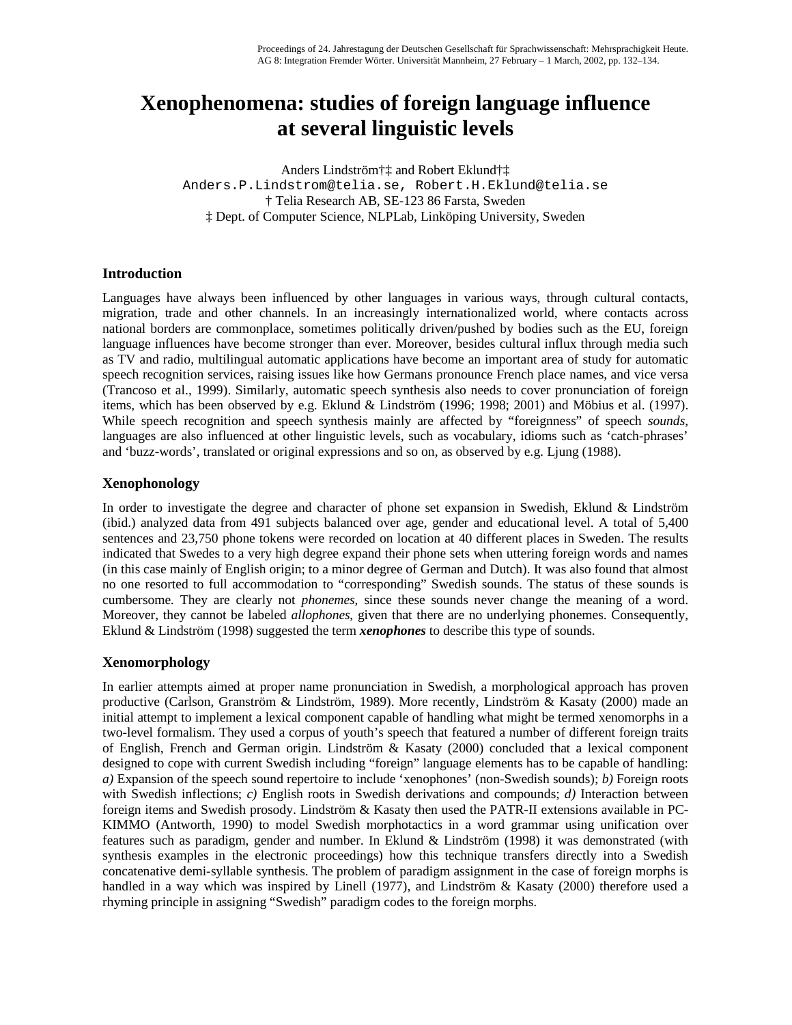# **Xenophenomena: studies of foreign language influence at several linguistic levels**

Anders Lindström†‡ and Robert Eklund†‡ Anders.P.Lindstrom@telia.se, Robert.H.Eklund@telia.se † Telia Research AB, SE-123 86 Farsta, Sweden ‡ Dept. of Computer Science, NLPLab, Linköping University, Sweden

## **Introduction**

Languages have always been influenced by other languages in various ways, through cultural contacts, migration, trade and other channels. In an increasingly internationalized world, where contacts across national borders are commonplace, sometimes politically driven/pushed by bodies such as the EU, foreign language influences have become stronger than ever. Moreover, besides cultural influx through media such as TV and radio, multilingual automatic applications have become an important area of study for automatic speech recognition services, raising issues like how Germans pronounce French place names, and vice versa (Trancoso et al., 1999). Similarly, automatic speech synthesis also needs to cover pronunciation of foreign items, which has been observed by e.g. Eklund & Lindström (1996; 1998; 2001) and Möbius et al. (1997). While speech recognition and speech synthesis mainly are affected by "foreignness" of speech *sounds*, languages are also influenced at other linguistic levels, such as vocabulary, idioms such as 'catch-phrases' and 'buzz-words', translated or original expressions and so on, as observed by e.g. Ljung (1988).

## **Xenophonology**

In order to investigate the degree and character of phone set expansion in Swedish, Eklund & Lindström (ibid.) analyzed data from 491 subjects balanced over age, gender and educational level. A total of 5,400 sentences and 23,750 phone tokens were recorded on location at 40 different places in Sweden. The results indicated that Swedes to a very high degree expand their phone sets when uttering foreign words and names (in this case mainly of English origin; to a minor degree of German and Dutch). It was also found that almost no one resorted to full accommodation to "corresponding" Swedish sounds. The status of these sounds is cumbersome. They are clearly not *phonemes*, since these sounds never change the meaning of a word. Moreover, they cannot be labeled *allophones*, given that there are no underlying phonemes. Consequently, Eklund & Lindström (1998) suggested the term *xenophones* to describe this type of sounds.

# **Xenomorphology**

In earlier attempts aimed at proper name pronunciation in Swedish, a morphological approach has proven productive (Carlson, Granström & Lindström, 1989). More recently, Lindström & Kasaty (2000) made an initial attempt to implement a lexical component capable of handling what might be termed xenomorphs in a two-level formalism. They used a corpus of youth's speech that featured a number of different foreign traits of English, French and German origin. Lindström & Kasaty (2000) concluded that a lexical component designed to cope with current Swedish including "foreign" language elements has to be capable of handling: *a)* Expansion of the speech sound repertoire to include 'xenophones' (non-Swedish sounds); *b)* Foreign roots with Swedish inflections; *c)* English roots in Swedish derivations and compounds; *d)* Interaction between foreign items and Swedish prosody. Lindström & Kasaty then used the PATR-II extensions available in PC-KIMMO (Antworth, 1990) to model Swedish morphotactics in a word grammar using unification over features such as paradigm, gender and number. In Eklund & Lindström (1998) it was demonstrated (with synthesis examples in the electronic proceedings) how this technique transfers directly into a Swedish concatenative demi-syllable synthesis. The problem of paradigm assignment in the case of foreign morphs is handled in a way which was inspired by Linell (1977), and Lindström & Kasaty (2000) therefore used a rhyming principle in assigning "Swedish" paradigm codes to the foreign morphs.